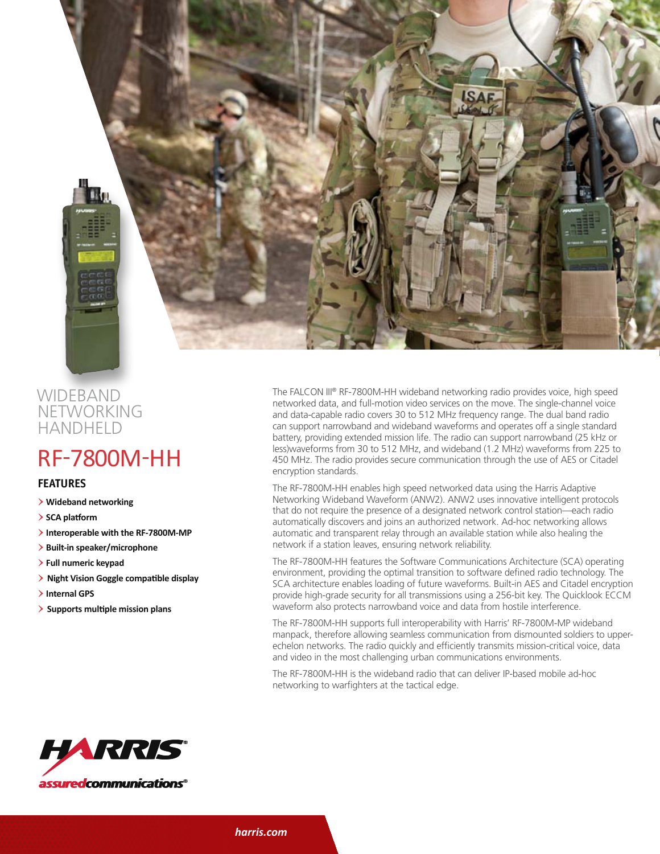

## **WIDEBAND NETWORKING HANDHELD**

## RF-7800M-HH

## **features**

- > **Wideband networking**
- > **SCA platform**
- > **Interoperable with the RF-7800M-MP**
- > **Built-in speaker/microphone**
- > **Full numeric keypad**
- > **Night Vision Goggle compatible display**
- > **Internal GPS**
- > **Supports multiple mission plans**

The FALCON III® RF-7800M-HH wideband networking radio provides voice, high speed networked data, and full-motion video services on the move. The single-channel voice and data-capable radio covers 30 to 512 MHz frequency range. The dual band radio can support narrowband and wideband waveforms and operates off a single standard battery, providing extended mission life. The radio can support narrowband (25 kHz or less)waveforms from 30 to 512 MHz, and wideband (1.2 MHz) waveforms from 225 to 450 MHz. The radio provides secure communication through the use of AES or Citadel encryption standards.

The RF-7800M-HH enables high speed networked data using the Harris Adaptive Networking Wideband Waveform (ANW2). ANW2 uses innovative intelligent protocols that do not require the presence of a designated network control station—each radio automatically discovers and joins an authorized network. Ad-hoc networking allows automatic and transparent relay through an available station while also healing the network if a station leaves, ensuring network reliability.

The RF-7800M-HH features the Software Communications Architecture (SCA) operating environment, providing the optimal transition to software defined radio technology. The SCA architecture enables loading of future waveforms. Built-in AES and Citadel encryption provide high-grade security for all transmissions using a 256-bit key. The Quicklook ECCM waveform also protects narrowband voice and data from hostile interference.

The RF-7800M-HH supports full interoperability with Harris' RF-7800M-MP wideband manpack, therefore allowing seamless communication from dismounted soldiers to upperechelon networks. The radio quickly and efficiently transmits mission-critical voice, data and video in the most challenging urban communications environments.

The RF-7800M-HH is the wideband radio that can deliver IP-based mobile ad-hoc networking to warfighters at the tactical edge.



*harris.com*